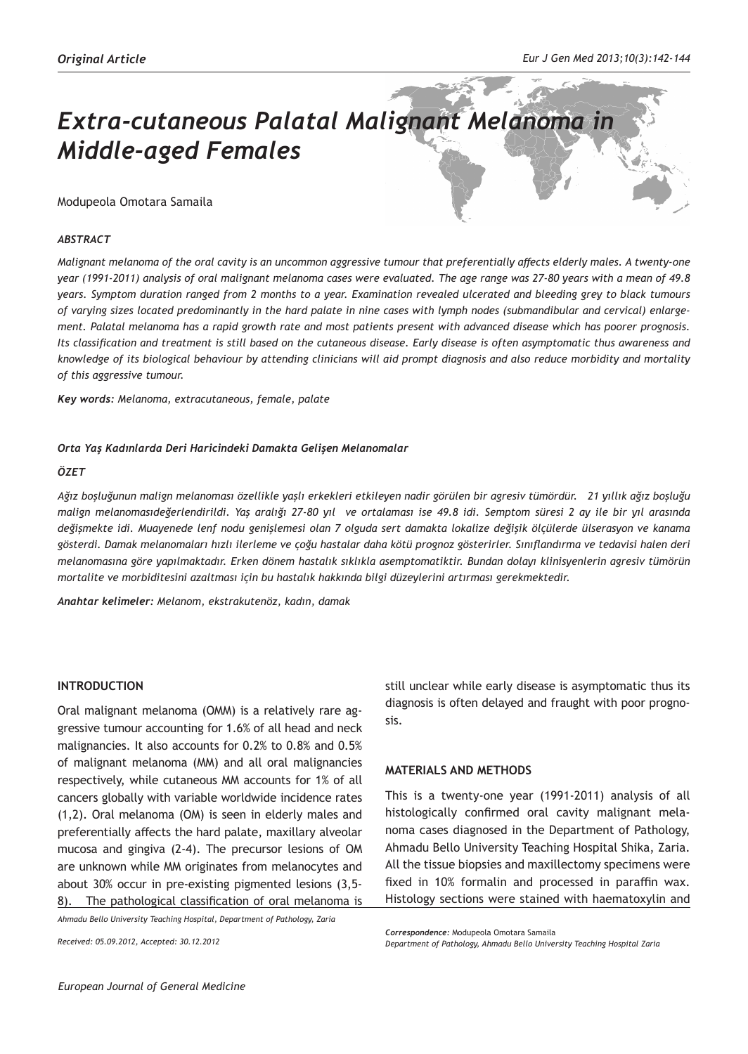# *Extra-cutaneous Palatal Malignant Melanoma in Middle-aged Females*

# Modupeola Omotara Samaila

## *ABSTRACT*

*Malignant melanoma of the oral cavity is an uncommon aggressive tumour that preferentially affects elderly males. A twenty-one year (1991-2011) analysis of oral malignant melanoma cases were evaluated. The age range was 27-80 years with a mean of 49.8 years. Symptom duration ranged from 2 months to a year. Examination revealed ulcerated and bleeding grey to black tumours of varying sizes located predominantly in the hard palate in nine cases with lymph nodes (submandibular and cervical) enlargement. Palatal melanoma has a rapid growth rate and most patients present with advanced disease which has poorer prognosis. Its classification and treatment is still based on the cutaneous disease. Early disease is often asymptomatic thus awareness and knowledge of its biological behaviour by attending clinicians will aid prompt diagnosis and also reduce morbidity and mortality of this aggressive tumour.* 

*Key words: Melanoma, extracutaneous, female, palate*

#### *Orta Yaş Kadınlarda Deri Haricindeki Damakta Gelişen Melanomalar*

#### *ÖZET*

*Ağız boşluğunun malign melanoması özellikle yaşlı erkekleri etkileyen nadir görülen bir agresiv tümördür. 21 yıllık ağız boşluğu malign melanomasıdeğerlendirildi. Yaş aralığı 27-80 yıl ve ortalaması ise 49.8 idi. Semptom süresi 2 ay ile bir yıl arasında değişmekte idi. Muayenede lenf nodu genişlemesi olan 7 olguda sert damakta lokalize değişik ölçülerde ülserasyon ve kanama gösterdi. Damak melanomaları hızlı ilerleme ve çoğu hastalar daha kötü prognoz gösterirler. Sınıflandırma ve tedavisi halen deri melanomasına göre yapılmaktadır. Erken dönem hastalık sıklıkla asemptomatiktir. Bundan dolayı klinisyenlerin agresiv tümörün mortalite ve morbiditesini azaltması için bu hastalık hakkında bilgi düzeylerini artırması gerekmektedir.*

*Anahtar kelimeler: Melanom, ekstrakutenöz, kadın, damak*

# **INTRODUCTION**

Oral malignant melanoma (OMM) is a relatively rare aggressive tumour accounting for 1.6% of all head and neck malignancies. It also accounts for 0.2% to 0.8% and 0.5% of malignant melanoma (MM) and all oral malignancies respectively, while cutaneous MM accounts for 1% of all cancers globally with variable worldwide incidence rates (1,2). Oral melanoma (OM) is seen in elderly males and preferentially affects the hard palate, maxillary alveolar mucosa and gingiva (2-4). The precursor lesions of OM are unknown while MM originates from melanocytes and about 30% occur in pre-existing pigmented lesions (3,5- 8). The pathological classification of oral melanoma is

*Ahmadu Bello University Teaching Hospital, Department of Pathology, Zaria*

*Received: 05.09.2012, Accepted: 30.12.2012*

still unclear while early disease is asymptomatic thus its diagnosis is often delayed and fraught with poor prognosis.

# **MATERIALS AND METHODS**

This is a twenty-one year (1991-2011) analysis of all histologically confirmed oral cavity malignant melanoma cases diagnosed in the Department of Pathology, Ahmadu Bello University Teaching Hospital Shika, Zaria. All the tissue biopsies and maxillectomy specimens were fixed in 10% formalin and processed in paraffin wax. Histology sections were stained with haematoxylin and

*Correspondence:* Modupeola Omotara Samaila

*Department of Pathology, Ahmadu Bello University Teaching Hospital Zaria*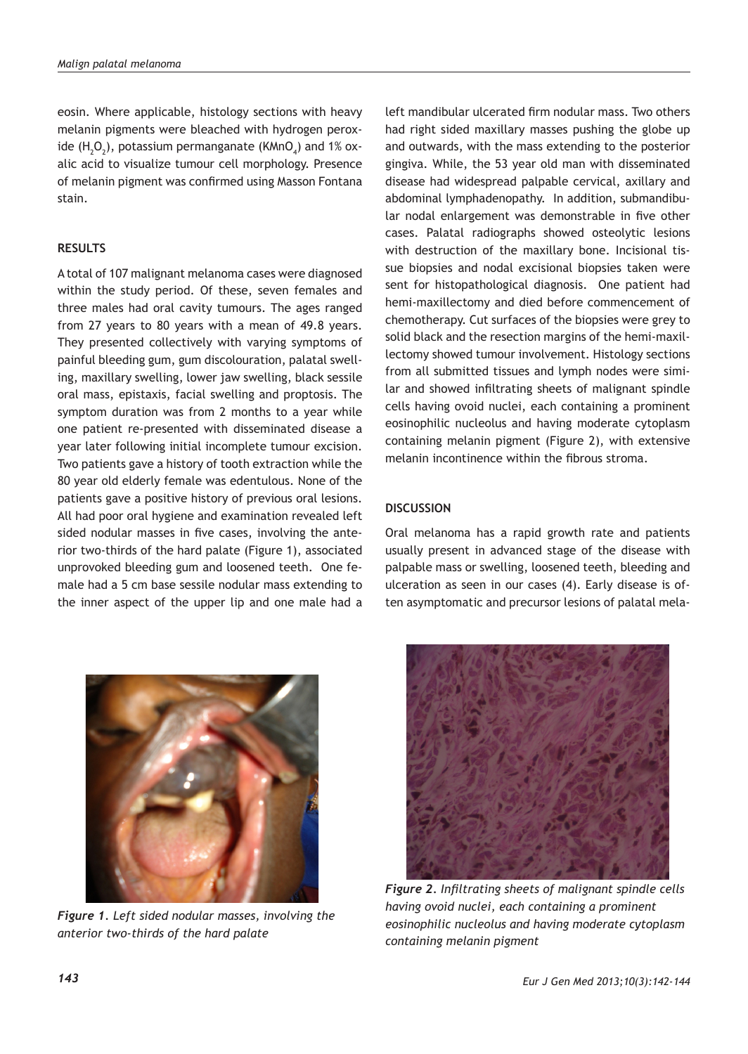eosin. Where applicable, histology sections with heavy melanin pigments were bleached with hydrogen peroxide (H<sub>2</sub>O<sub>2</sub>), potassium permanganate (KMnO<sub>4</sub>) and 1% oxalic acid to visualize tumour cell morphology. Presence of melanin pigment was confirmed using Masson Fontana stain.

## **RESULTS**

A total of 107 malignant melanoma cases were diagnosed within the study period. Of these, seven females and three males had oral cavity tumours. The ages ranged from 27 years to 80 years with a mean of 49.8 years. They presented collectively with varying symptoms of painful bleeding gum, gum discolouration, palatal swelling, maxillary swelling, lower jaw swelling, black sessile oral mass, epistaxis, facial swelling and proptosis. The symptom duration was from 2 months to a year while one patient re-presented with disseminated disease a year later following initial incomplete tumour excision. Two patients gave a history of tooth extraction while the 80 year old elderly female was edentulous. None of the patients gave a positive history of previous oral lesions. All had poor oral hygiene and examination revealed left sided nodular masses in five cases, involving the anterior two-thirds of the hard palate (Figure 1), associated unprovoked bleeding gum and loosened teeth. One female had a 5 cm base sessile nodular mass extending to the inner aspect of the upper lip and one male had a



*Figure 1. Left sided nodular masses, involving the anterior two-thirds of the hard palate*

left mandibular ulcerated firm nodular mass. Two others had right sided maxillary masses pushing the globe up and outwards, with the mass extending to the posterior gingiva. While, the 53 year old man with disseminated disease had widespread palpable cervical, axillary and abdominal lymphadenopathy. In addition, submandibular nodal enlargement was demonstrable in five other cases. Palatal radiographs showed osteolytic lesions with destruction of the maxillary bone. Incisional tissue biopsies and nodal excisional biopsies taken were sent for histopathological diagnosis. One patient had hemi-maxillectomy and died before commencement of chemotherapy. Cut surfaces of the biopsies were grey to solid black and the resection margins of the hemi-maxillectomy showed tumour involvement. Histology sections from all submitted tissues and lymph nodes were similar and showed infiltrating sheets of malignant spindle cells having ovoid nuclei, each containing a prominent eosinophilic nucleolus and having moderate cytoplasm containing melanin pigment (Figure 2), with extensive melanin incontinence within the fibrous stroma.

## **DISCUSSION**

Oral melanoma has a rapid growth rate and patients usually present in advanced stage of the disease with palpable mass or swelling, loosened teeth, bleeding and ulceration as seen in our cases (4). Early disease is often asymptomatic and precursor lesions of palatal mela-



*having ovoid nuclei, each containing a prominent eosinophilic nucleolus and having moderate cytoplasm containing melanin pigment*